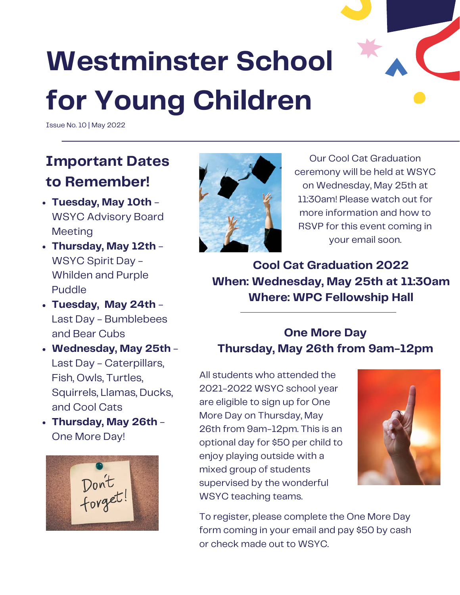## **Westminster School for Young Children**

Issue No. 10 | May 2022

### **Important Dates to Remember!**

- **Tuesday, May 10th**  WSYC Advisory Board **Meeting**
- **Thursday, May 12th** WSYC Spirit Day - Whilden and Purple Puddle
- **Tuesday, May 24th**  Last Day - Bumblebees and Bear Cubs
- **Wednesday, May 25th** Last Day - Caterpillars, Fish, Owls, Turtles, Squirrels, Llamas, Ducks, and Cool Cats
- **Thursday, May 26th** One More Day!





Our Cool Cat Graduation ceremony will be held at WSYC on Wednesday, May 25th at 11:30am! Please watch out for more information and how to RSVP for this event coming in your email soon.

**Cool Cat Graduation 2022 When: Wednesday, May 25th at 11:30am Where: WPC Fellowship Hall**

#### **One More Day Thursday, May 26th from 9am-12pm**

All students who attended the 2021-2022 WSYC school year are eligible to sign up for One More Day on Thursday, May 26th from 9am-12pm. This is an optional day for \$50 per child to enjoy playing outside with a mixed group of students supervised by the wonderful WSYC teaching teams.



To register, please complete the One More Day form coming in your email and pay \$50 by cash or check made out to WSYC.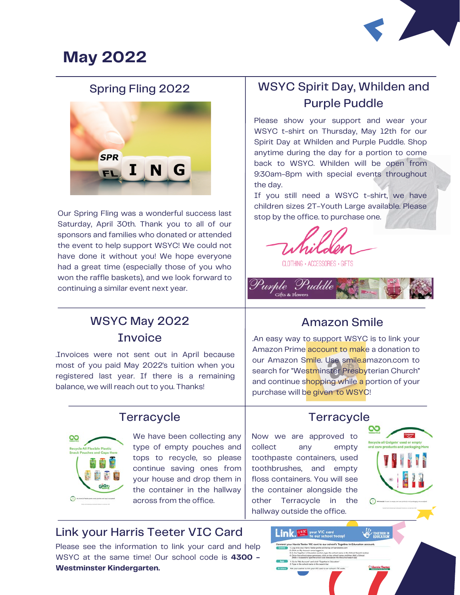

#### **May 2022**

#### Spring Fling 2022



Our Spring Fling was a wonderful success last  $\left\vert \right.$  stop by the office to purchase one. Saturday, April 30th. Thank you to all of our sponsors and families who donated or attended the event to help support WSYC! We could not have done it without you! We hope everyone had a great time (especially those of you who won the raffle baskets), and we look forward to continuing a similar event next year.

#### WSYC Spirit Day, Whilden and Purple Puddle

Please show your support and wear your WSYC t-shirt on Thursday, May 12th for our Spirit Day at Whilden and Purple Puddle. Shop anytime during the day for a portion to come back to WSYC. Whilden will be open from 9:30am-8pm with special events throughout the day.

If you still need a WSYC t-shirt, we have children sizes 2T-Youth Large available. Please

CLOTHING · ACCESSORIES · GIFTS



#### WSYC May 2022 **Invoice**

.Invoices were not sent out in April because most of you paid May 2022's tuition when you registered last year. If there is a remaining balance, we will reach out to you. Thanks!

# လ

#### Terracycle Terracycle

We have been collecting any type of empty pouches and tops to recycle, so please continue saving ones from your house and drop them in the container in the hallway across from the office.

#### .An easy way to support WSYC is to link your

Amazon Smile

Amazon Prime account to make a donation to our Amazon Smile. Use smile.amazon.com to search for "Westminster Presbyterian Church" and continue shopping while a portion of your purchase will be given to WSYC!

 $\bigcap$ 

Now we are approved to collect any empty toothpaste containers, used toothbrushes, and empty floss containers. You will see the container alongside the other Terracycle in the hallway outside the office.

#### Link your Harris Teeter VIC Card

Please see the information to link your card and help WSYC at the same time! Our school code is **4300 - Westminster Kindergarten.**